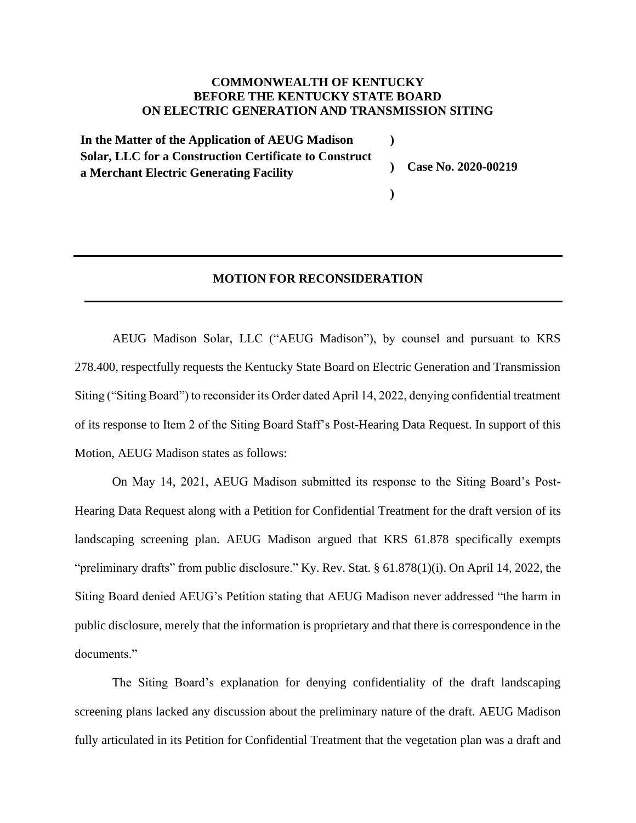## **COMMONWEALTH OF KENTUCKY BEFORE THE KENTUCKY STATE BOARD ON ELECTRIC GENERATION AND TRANSMISSION SITING**

**In the Matter of the Application of AEUG Madison Solar, LLC for a Construction Certificate to Construct a Merchant Electric Generating Facility ) ) Case No. 2020-00219**

## **MOTION FOR RECONSIDERATION**

**)**

AEUG Madison Solar, LLC ("AEUG Madison"), by counsel and pursuant to KRS 278.400, respectfully requests the Kentucky State Board on Electric Generation and Transmission Siting ("Siting Board") to reconsider its Order dated April 14, 2022, denying confidential treatment of its response to Item 2 of the Siting Board Staff's Post-Hearing Data Request. In support of this Motion, AEUG Madison states as follows:

On May 14, 2021, AEUG Madison submitted its response to the Siting Board's Post-Hearing Data Request along with a Petition for Confidential Treatment for the draft version of its landscaping screening plan. AEUG Madison argued that KRS 61.878 specifically exempts "preliminary drafts" from public disclosure." Ky. Rev. Stat. § 61.878(1)(i). On April 14, 2022, the Siting Board denied AEUG's Petition stating that AEUG Madison never addressed "the harm in public disclosure, merely that the information is proprietary and that there is correspondence in the documents."

The Siting Board's explanation for denying confidentiality of the draft landscaping screening plans lacked any discussion about the preliminary nature of the draft. AEUG Madison fully articulated in its Petition for Confidential Treatment that the vegetation plan was a draft and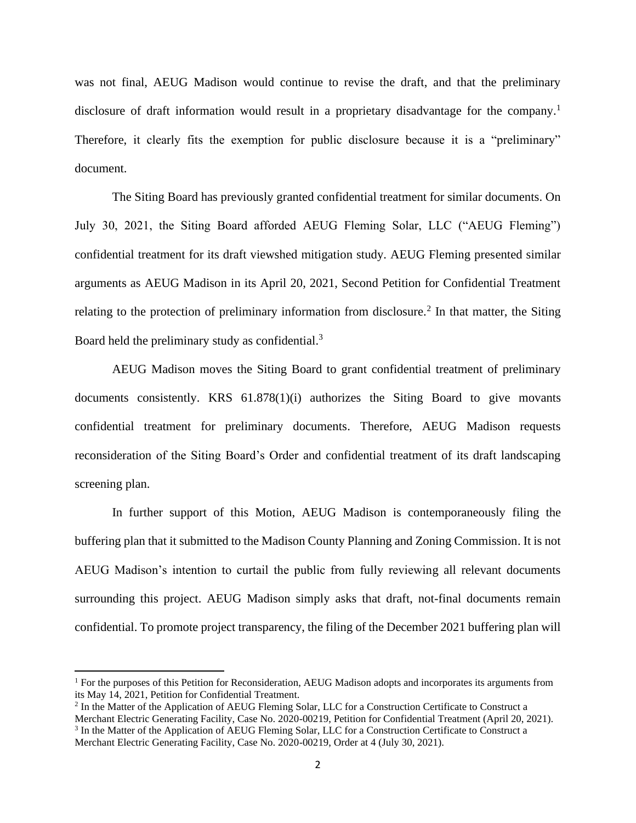was not final, AEUG Madison would continue to revise the draft, and that the preliminary disclosure of draft information would result in a proprietary disadvantage for the company.<sup>1</sup> Therefore, it clearly fits the exemption for public disclosure because it is a "preliminary" document.

The Siting Board has previously granted confidential treatment for similar documents. On July 30, 2021, the Siting Board afforded AEUG Fleming Solar, LLC ("AEUG Fleming") confidential treatment for its draft viewshed mitigation study. AEUG Fleming presented similar arguments as AEUG Madison in its April 20, 2021, Second Petition for Confidential Treatment relating to the protection of preliminary information from disclosure.<sup>2</sup> In that matter, the Siting Board held the preliminary study as confidential.<sup>3</sup>

AEUG Madison moves the Siting Board to grant confidential treatment of preliminary documents consistently. KRS 61.878(1)(i) authorizes the Siting Board to give movants confidential treatment for preliminary documents. Therefore, AEUG Madison requests reconsideration of the Siting Board's Order and confidential treatment of its draft landscaping screening plan.

In further support of this Motion, AEUG Madison is contemporaneously filing the buffering plan that it submitted to the Madison County Planning and Zoning Commission. It is not AEUG Madison's intention to curtail the public from fully reviewing all relevant documents surrounding this project. AEUG Madison simply asks that draft, not-final documents remain confidential. To promote project transparency, the filing of the December 2021 buffering plan will

<sup>1</sup> For the purposes of this Petition for Reconsideration, AEUG Madison adopts and incorporates its arguments from its May 14, 2021, Petition for Confidential Treatment.

<sup>&</sup>lt;sup>2</sup> In the Matter of the Application of AEUG Fleming Solar, LLC for a Construction Certificate to Construct a Merchant Electric Generating Facility, Case No. 2020-00219, Petition for Confidential Treatment (April 20, 2021). <sup>3</sup> In the Matter of the Application of AEUG Fleming Solar, LLC for a Construction Certificate to Construct a

Merchant Electric Generating Facility, Case No. 2020-00219, Order at 4 (July 30, 2021).